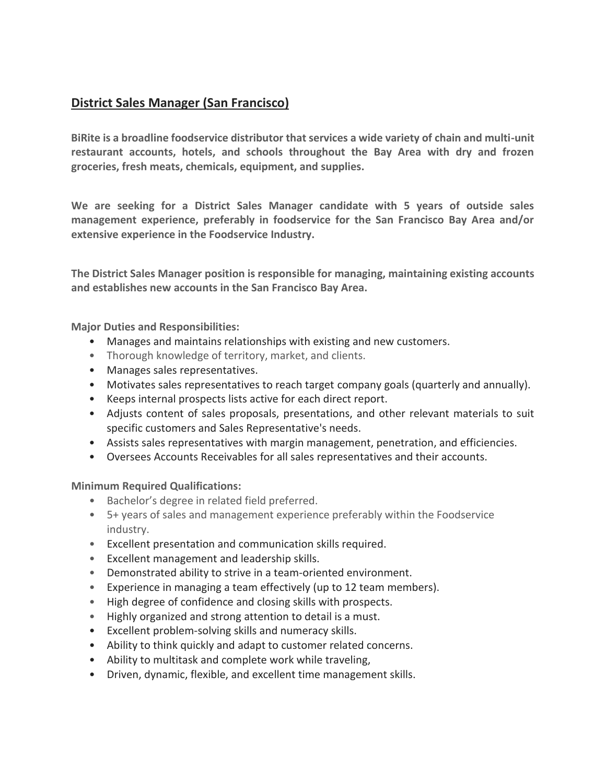# **District Sales Manager (San Francisco)**

**BiRite is a broadline foodservice distributor that services a wide variety of chain and multi-unit restaurant accounts, hotels, and schools throughout the Bay Area with dry and frozen groceries, fresh meats, chemicals, equipment, and supplies.**

**We are seeking for a District Sales Manager candidate with 5 years of outside sales management experience, preferably in foodservice for the San Francisco Bay Area and/or extensive experience in the Foodservice Industry.**

**The District Sales Manager position is responsible for managing, maintaining existing accounts and establishes new accounts in the San Francisco Bay Area.**

**Major Duties and Responsibilities:**

- Manages and maintains relationships with existing and new customers.
- Thorough knowledge of territory, market, and clients.
- Manages sales representatives.
- Motivates sales representatives to reach target company goals (quarterly and annually).
- Keeps internal prospects lists active for each direct report.
- Adjusts content of sales proposals, presentations, and other relevant materials to suit specific customers and Sales Representative's needs.
- Assists sales representatives with margin management, penetration, and efficiencies.
- Oversees Accounts Receivables for all sales representatives and their accounts.

**Minimum Required Qualifications:**

- Bachelor's degree in related field preferred.
- 5+ years of sales and management experience preferably within the Foodservice industry.
- Excellent presentation and communication skills required.
- Excellent management and leadership skills.
- Demonstrated ability to strive in a team-oriented environment.
- Experience in managing a team effectively (up to 12 team members).
- High degree of confidence and closing skills with prospects.
- Highly organized and strong attention to detail is a must.
- Excellent problem-solving skills and numeracy skills.
- Ability to think quickly and adapt to customer related concerns.
- Ability to multitask and complete work while traveling,
- Driven, dynamic, flexible, and excellent time management skills.